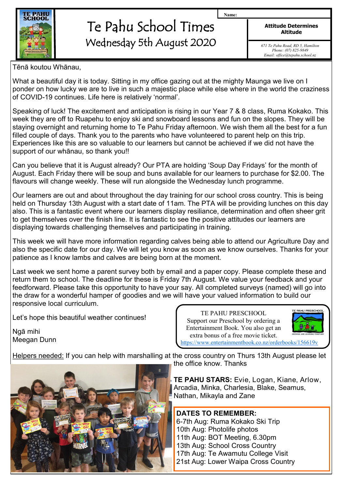

# Te Pahu School Times Wednesday 5th August 2020

**Attitude Determines Altitude**

**Name:**

*671 Te Pahu Road, RD 5, Hamilton Phone: (07) 825-9849 Email: office@tepahu.school.nz*

Tēnā koutou Whānau,

What a beautiful day it is today. Sitting in my office gazing out at the mighty Maunga we live on I ponder on how lucky we are to live in such a majestic place while else where in the world the craziness of COVID-19 continues. Life here is relatively 'normal'.

Speaking of luck! The excitement and anticipation is rising in our Year 7 & 8 class, Ruma Kokako. This week they are off to Ruapehu to enjoy ski and snowboard lessons and fun on the slopes. They will be staying overnight and returning home to Te Pahu Friday afternoon. We wish them all the best for a fun filled couple of days. Thank you to the parents who have volunteered to parent help on this trip. Experiences like this are so valuable to our learners but cannot be achieved if we did not have the support of our whānau, so thank you!!

Can you believe that it is August already? Our PTA are holding 'Soup Day Fridays' for the month of August. Each Friday there will be soup and buns available for our learners to purchase for \$2.00. The flavours will change weekly. These will run alongside the Wednesday lunch programme.

Our learners are out and about throughout the day training for our school cross country. This is being held on Thursday 13th August with a start date of 11am. The PTA will be providing lunches on this day also. This is a fantastic event where our learners display resiliance, determination and often sheer grit to get themselves over the finish line. It is fantastic to see the positive attitudes our learners are displaying towards challenging themselves and participating in training.

This week we will have more information regarding calves being able to attend our Agriculture Day and also the specific date for our day. We will let you know as soon as we know ourselves. Thanks for your patience as I know lambs and calves are being born at the moment.

Last week we sent home a parent survey both by email and a paper copy. Please complete these and return them to school. The deadline for these is Friday 7th August. We value your feedback and your feedforward. Please take this opportunity to have your say. All completed surveys (named) will go into the draw for a wonderful hamper of goodies and we will have your valued information to build our responsive local curriculum.

Let's hope this beautiful weather continues!

Ngā mihi Meegan Dunn

TE PAHU PRESCHOOL Support our Preschool by ordering a Entertainment Book. You also get an extra bonus of a free movie ticket.



<https://www.entertainmentbook.co.nz/orderbooks/156619v>

Helpers needed: If you can help with marshalling at the cross country on Thurs 13th August please let the office know. Thanks



**TE PAHU STARS:** Evie, Logan, Kiane, Arlow, Arcadia, Minka, Charlesia, Blake, Seamus, Nathan, Mikayla and Zane

#### **DATES TO REMEMBER:** 6-7th Aug: Ruma Kokako Ski Trip

10th Aug: Photolife photos 11th Aug: BOT Meeting, 6.30pm 13th Aug: School Cross Country 17th Aug: Te Awamutu College Visit

21st Aug: Lower Waipa Cross Country